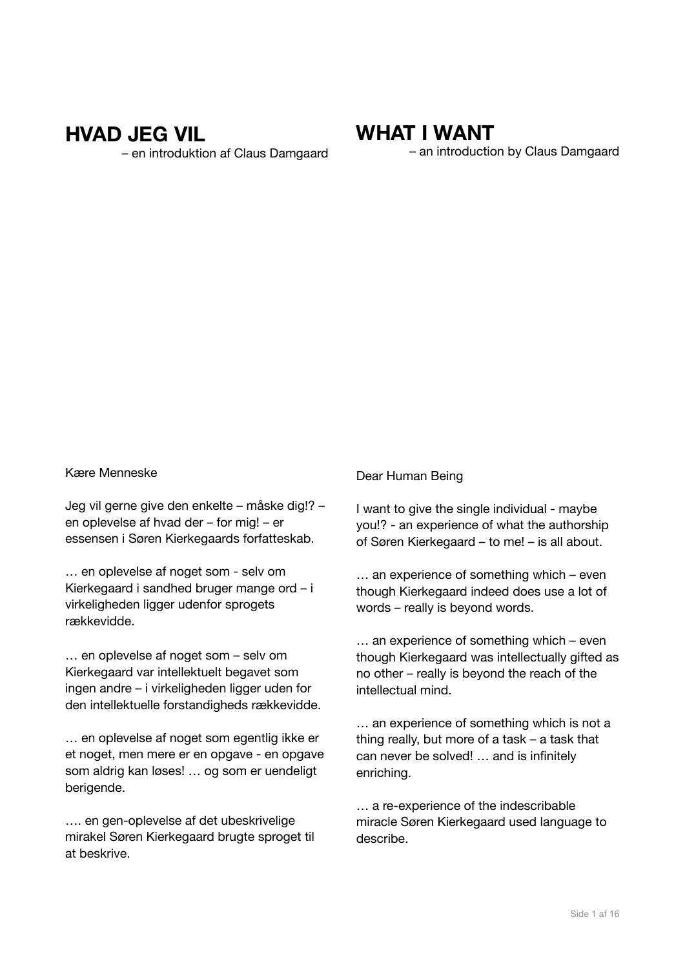# **HVAD JEG VIL**

– en introduktion af Claus Damgaard

# **WHAT I WANT**

– an introduction by Claus Damgaard

#### Kære Menneske

Jeg vil gerne give den enkelte – måske dig!? – en oplevelse af hvad der – for mig! – er essensen i Søren Kierkegaards forfatteskab.

… en oplevelse af noget som - selv om Kierkegaard i sandhed bruger mange ord – i virkeligheden ligger udenfor sprogets rækkevidde.

… en oplevelse af noget som – selv om Kierkegaard var intellektuelt begavet som ingen andre – i virkeligheden ligger uden for den intellektuelle forstandigheds rækkevidde.

… en oplevelse af noget som egentlig ikke er et noget, men mere er en opgave - en opgave som aldrig kan løses! … og som er uendeligt berigende.

…. en gen-oplevelse af det ubeskrivelige mirakel Søren Kierkegaard brugte sproget til at beskrive.

#### Dear Human Being

I want to give the single individual - maybe you!? - an experience of what the authorship of Søren Kierkegaard – to me! – is all about.

… an experience of something which – even though Kierkegaard indeed does use a lot of words – really is beyond words.

… an experience of something which – even though Kierkegaard was intellectually gifted as no other – really is beyond the reach of the intellectual mind.

… an experience of something which is not a thing really, but more of a task – a task that can never be solved! … and is infinitely enriching.

… a re-experience of the indescribable miracle Søren Kierkegaard used language to describe.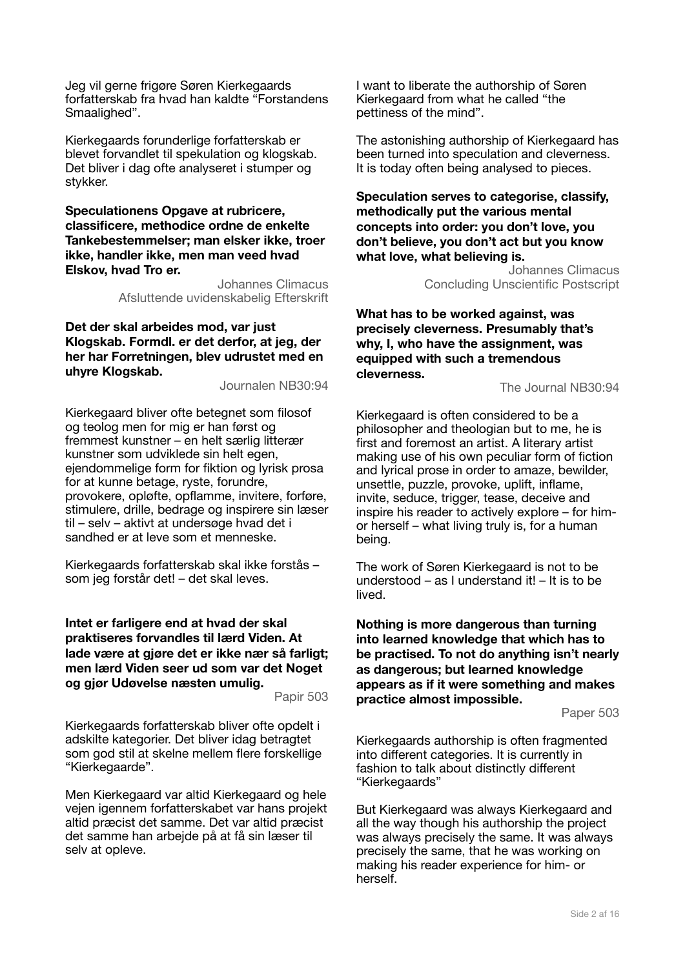Jeg vil gerne frigøre Søren Kierkegaards forfatterskab fra hvad han kaldte "Forstandens Smaalighed".

Kierkegaards forunderlige forfatterskab er blevet forvandlet til spekulation og klogskab. Det bliver i dag ofte analyseret i stumper og stykker.

#### **Speculationens Opgave at rubricere, classificere, methodice ordne de enkelte Tankebestemmelser; man elsker ikke, troer ikke, handler ikke, men man veed hvad Elskov, hvad Tro er.**

Johannes Climacus Afsluttende uvidenskabelig Efterskrift

**Det der skal arbeides mod, var just Klogskab. Formdl. er det derfor, at jeg, der her har Forretningen, blev udrustet med en uhyre Klogskab.** 

Journalen NB30:94

Kierkegaard bliver ofte betegnet som filosof og teolog men for mig er han først og fremmest kunstner – en helt særlig litterær kunstner som udviklede sin helt egen, ejendommelige form for fiktion og lyrisk prosa for at kunne betage, ryste, forundre, provokere, opløfte, opflamme, invitere, forføre, stimulere, drille, bedrage og inspirere sin læser til – selv – aktivt at undersøge hvad det i sandhed er at leve som et menneske.

Kierkegaards forfatterskab skal ikke forstås – som jeg forstår det! – det skal leves.

#### **Intet er farligere end at hvad der skal praktiseres forvandles til lærd Viden. At lade være at gjøre det er ikke nær så farligt; men lærd Viden seer ud som var det Noget og gjør Udøvelse næsten umulig.**

Papir 503

Kierkegaards forfatterskab bliver ofte opdelt i adskilte kategorier. Det bliver idag betragtet som god stil at skelne mellem flere forskellige "Kierkegaarde".

Men Kierkegaard var altid Kierkegaard og hele vejen igennem forfatterskabet var hans projekt altid præcist det samme. Det var altid præcist det samme han arbejde på at få sin læser til selv at opleve.

I want to liberate the authorship of Søren Kierkegaard from what he called "the pettiness of the mind".

The astonishing authorship of Kierkegaard has been turned into speculation and cleverness. It is today often being analysed to pieces.

**Speculation serves to categorise, classify, methodically put the various mental concepts into order: you don't love, you don't believe, you don't act but you know what love, what believing is.** 

> Johannes Climacus Concluding Unscientific Postscript

**What has to be worked against, was precisely cleverness. Presumably that's why, I, who have the assignment, was equipped with such a tremendous cleverness.** 

The Journal NB30:94

Kierkegaard is often considered to be a philosopher and theologian but to me, he is first and foremost an artist. A literary artist making use of his own peculiar form of fiction and lyrical prose in order to amaze, bewilder, unsettle, puzzle, provoke, uplift, inflame, invite, seduce, trigger, tease, deceive and inspire his reader to actively explore – for himor herself – what living truly is, for a human being.

The work of Søren Kierkegaard is not to be understood – as I understand it! – It is to be lived.

**Nothing is more dangerous than turning into learned knowledge that which has to be practised. To not do anything isn't nearly as dangerous; but learned knowledge appears as if it were something and makes practice almost impossible.** 

Paper 503

Kierkegaards authorship is often fragmented into different categories. It is currently in fashion to talk about distinctly different "Kierkegaards"

But Kierkegaard was always Kierkegaard and all the way though his authorship the project was always precisely the same. It was always precisely the same, that he was working on making his reader experience for him- or herself.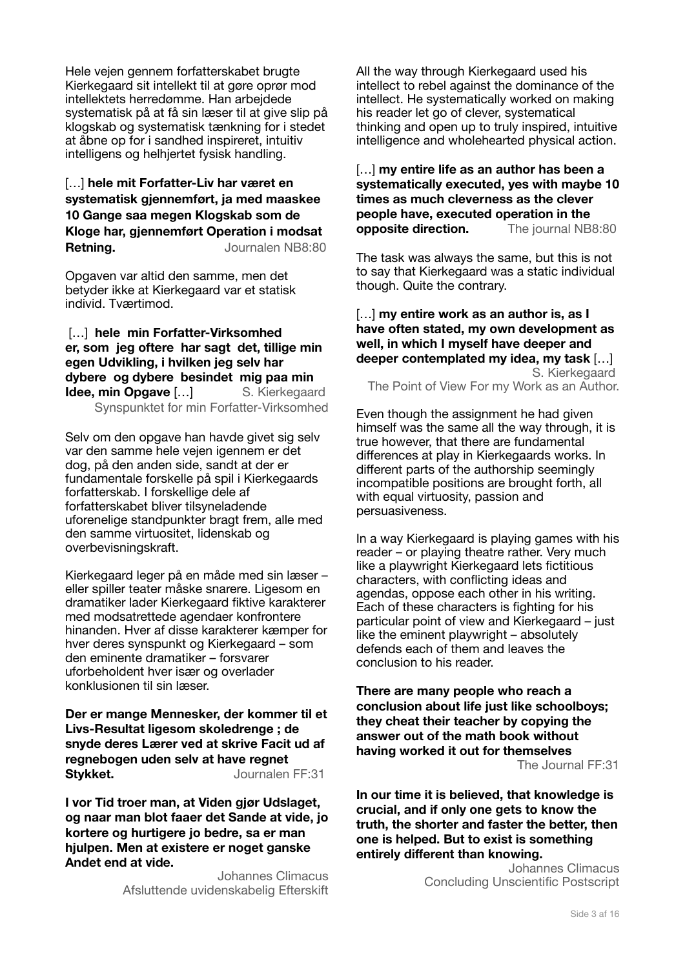Hele vejen gennem forfatterskabet brugte Kierkegaard sit intellekt til at gøre oprør mod intellektets herredømme. Han arbejdede systematisk på at få sin læser til at give slip på klogskab og systematisk tænkning for i stedet at åbne op for i sandhed inspireret, intuitiv intelligens og helhjertet fysisk handling.

# […] **hele mit Forfatter-Liv har været en systematisk gjennemført, ja med maaskee 10 Gange saa megen Klogskab som de Kloge har, gjennemført Operation i modsat Retning.** Journalen NB8:80

Opgaven var altid den samme, men det betyder ikke at Kierkegaard var et statisk individ. Tværtimod.

[...] hele min Forfatter-Virksomhed **er, som jeg oftere har sagt det, tillige min egen Udvikling, i hvilken jeg selv har dybere og dybere besindet mig paa min Idee, min Opgave […]** S. Kierkegaard Synspunktet for min Forfatter-Virksomhed

Selv om den opgave han havde givet sig selv var den samme hele vejen igennem er det dog, på den anden side, sandt at der er fundamentale forskelle på spil i Kierkegaards forfatterskab. I forskellige dele af forfatterskabet bliver tilsyneladende uforenelige standpunkter bragt frem, alle med den samme virtuositet, lidenskab og overbevisningskraft.

Kierkegaard leger på en måde med sin læser – eller spiller teater måske snarere. Ligesom en dramatiker lader Kierkegaard fiktive karakterer med modsatrettede agendaer konfrontere hinanden. Hver af disse karakterer kæmper for hver deres synspunkt og Kierkegaard – som den eminente dramatiker – forsvarer uforbeholdent hver især og overlader konklusionen til sin læser.

**Der er mange Mennesker, der kommer til et Livs-Resultat ligesom skoledrenge ; de snyde deres Lærer ved at skrive Facit ud af regnebogen uden selv at have regnet**  Stykket. **Stykket. Journalen FF:31** 

**I vor Tid troer man, at Viden gjør Udslaget, og naar man blot faaer det Sande at vide, jo kortere og hurtigere jo bedre, sa er man hjulpen. Men at existere er noget ganske Andet end at vide.**

> Johannes Climacus Afsluttende uvidenskabelig Efterskift

All the way through Kierkegaard used his intellect to rebel against the dominance of the intellect. He systematically worked on making his reader let go of clever, systematical thinking and open up to truly inspired, intuitive intelligence and wholehearted physical action.

[…] **my entire life as an author has been a systematically executed, yes with maybe 10 times as much cleverness as the clever people have, executed operation in the opposite direction.** The journal NB8:80

The task was always the same, but this is not to say that Kierkegaard was a static individual though. Quite the contrary.

### […] **my entire work as an author is, as I have often stated, my own development as well, in which I myself have deeper and deeper contemplated my idea, my task** […] S. Kierkegaard

The Point of View For my Work as an Author.

Even though the assignment he had given himself was the same all the way through, it is true however, that there are fundamental differences at play in Kierkegaards works. In different parts of the authorship seemingly incompatible positions are brought forth, all with equal virtuosity, passion and persuasiveness.

In a way Kierkegaard is playing games with his reader – or playing theatre rather. Very much like a playwright Kierkegaard lets fictitious characters, with conflicting ideas and agendas, oppose each other in his writing. Each of these characters is fighting for his particular point of view and Kierkegaard – just like the eminent playwright – absolutely defends each of them and leaves the conclusion to his reader.

**There are many [people](https://www.definitions.net/definition/people) who [reach](https://www.definitions.net/definition/reach) a conclusion about life just like schoolboys; they [cheat](https://www.definitions.net/definition/cheat) their teacher by [copying](https://www.definitions.net/definition/copying) the answer out of the math book [without](https://www.definitions.net/definition/without)  having [worked](https://www.definitions.net/definition/worked) it out for themselves**  The Journal FF:31

**In our time it is believed, that knowledge is crucial, and if only one gets to know the truth, the shorter and faster the better, then one is helped. But to exist is something entirely different than knowing.** 

> Johannes Climacus Concluding Unscientific Postscript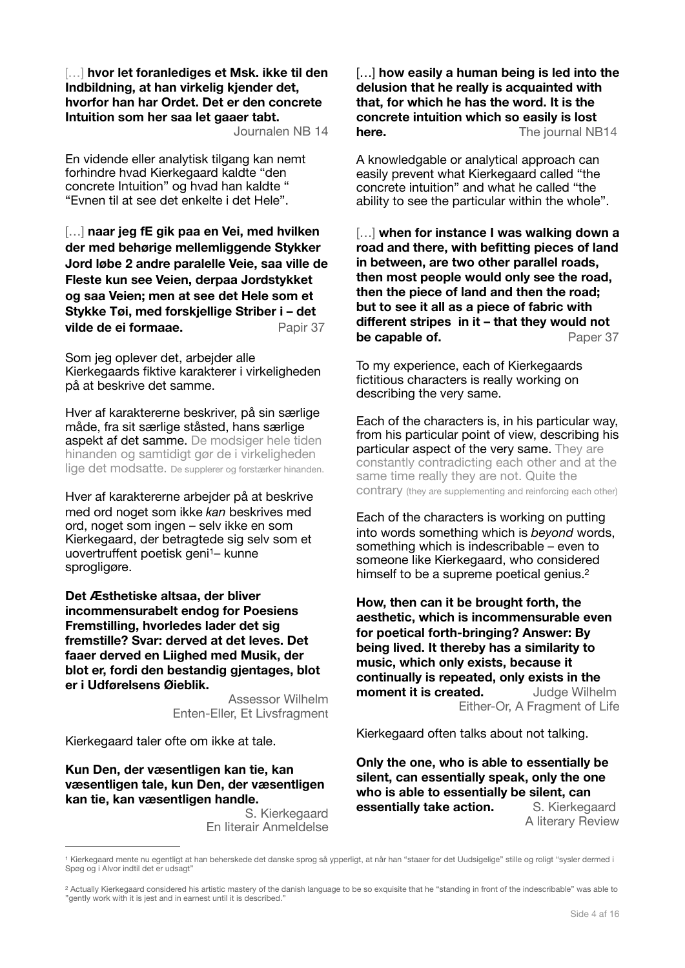[…] **hvor let foranlediges et Msk. ikke til den Indbildning, at han virkelig kjender det, hvorfor han har Ordet. Det er den concrete Intuition som her saa let gaaer tabt.** 

Journalen NB 14

En vidende eller analytisk tilgang kan nemt forhindre hvad Kierkegaard kaldte "den concrete Intuition" og hvad han kaldte " "Evnen til at see det enkelte i det Hele".

[…] **naar jeg fE gik paa en Vei, med hvilken der med behørige mellemliggende Stykker Jord løbe 2 andre paralelle Veie, saa ville de Fleste kun see Veien, derpaa Jordstykket og saa Veien; men at see det Hele som et Stykke Tøi, med forskjellige Striber i – det vilde de ei formaae.** Papir 37

Som jeg oplever det, arbejder alle Kierkegaards fiktive karakterer i virkeligheden på at beskrive det samme.

Hver af karaktererne beskriver, på sin særlige måde, fra sit særlige ståsted, hans særlige aspekt af det samme. De modsiger hele tiden hinanden og samtidigt gør de i virkeligheden lige det modsatte. De supplerer og forstærker hinanden.

Hver af karaktererne arbejder på at beskrive med ord noget som ikke *kan* beskrives med ord, noget som ingen – selv ikke en som Kierkegaard, der betragtede sig selv som et uovertruffent poetisk geni<sup>[1](#page-3-0)</sup>- kunne sprogligøre.

**Det Æsthetiske altsaa, der bliver incommensurabelt endog for Poesiens Fremstilling, hvorledes lader det sig fremstille? Svar: derved at det leves. Det faaer derved en Liighed med Musik, der blot er, fordi den bestandig gjentages, blot er i Udførelsens Øieblik.** 

> <span id="page-3-2"></span>Assessor Wilhelm Enten-Eller, Et Livsfragment

Kierkegaard taler ofte om ikke at tale.

**Kun Den, der væsentligen kan tie, kan væsentligen tale, kun Den, der væsentligen kan tie, kan væsentligen handle.** 

> S. Kierkegaard En literair Anmeldelse

[…] **how easily a human being is led into the delusion that he really is acquainted with that, for which he has the word. It is the concrete intuition which so easily is lost here.** The journal NB14

A knowledgable or analytical approach can easily prevent what Kierkegaard called "the concrete intuition" and what he called "the ability to see the particular within the whole".

[…] **when for instance I was walking down a road and there, with befitting pieces of land in between, are two other parallel roads, then most people would only see the road, then the piece of land and then the road; but to see it all as a piece of fabric with different stripes in it – that they would not be capable of.** Paper 37

To my experience, each of Kierkegaards fictitious characters is really working on describing the very same.

Each of the characters is, in his particular way, from his particular point of view, describing his particular aspect of the very same. They are constantly contradicting each other and at the same time really they are not. Quite the contrary (they are supplementing and reinforcing each other)

Each of the characters is working on putting into words something which is *beyond* words, something which is indescribable – even to someone like Kierkegaard, who considered himself to be a supreme poetical genius.<sup>2</sup>

<span id="page-3-3"></span>**How, then can it be brought forth, the aesthetic, which is incommensurable even for poetical forth-bringing? Answer: By being lived. It thereby has a similarity to music, which only exists, because it continually is repeated, only exists in the moment it is created.** Judge Wilhelm Either-Or, A Fragment of Life

Kierkegaard often talks about not talking.

**Only the one, who is able to essentially be silent, can essentially speak, only the one who is able to essentially be silent, can essentially take action.** S. Kierkegaard A literary Review

<span id="page-3-0"></span>Kierkegaard mente nu egentligt at han beherskede det danske sprog så ypperligt, at når han "staaer for det Uudsigelige" stille og roligt "sysler dermed i Spøg og i Alvor indtil det er udsagt"

<span id="page-3-1"></span><sup>&</sup>lt;sup>[2](#page-3-3)</sup> Actually Kierkegaard considered his artistic mastery of the danish language to be so exquisite that he "standing in front of the indescribable" was able to "gently work with it is jest and in earnest until it is described."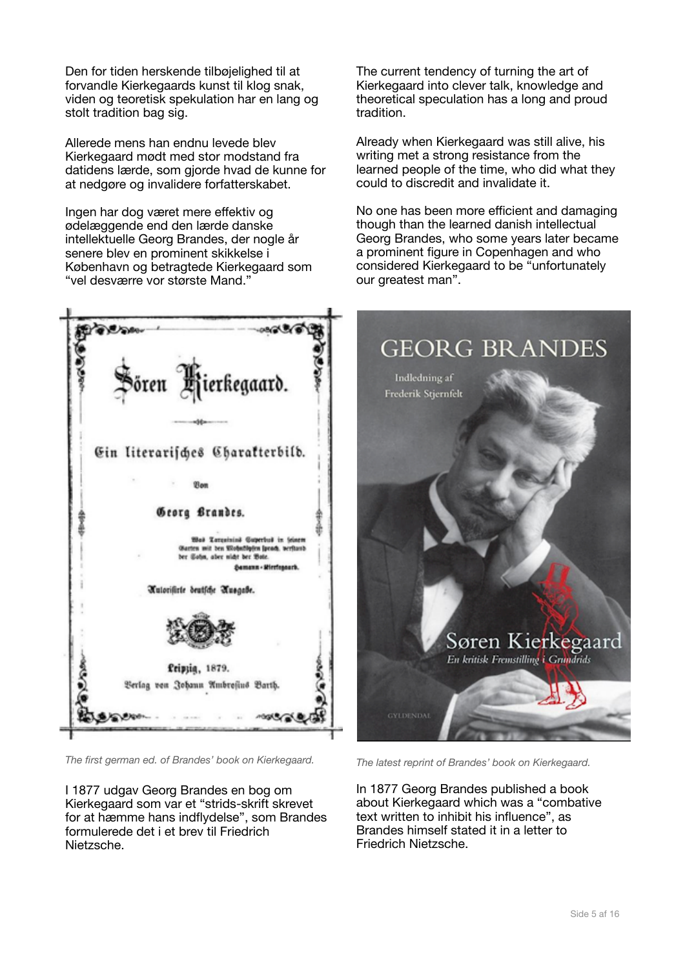Den for tiden herskende tilbøjelighed til at forvandle Kierkegaards kunst til klog snak, viden og teoretisk spekulation har en lang og stolt tradition bag sig.

Allerede mens han endnu levede blev Kierkegaard mødt med stor modstand fra datidens lærde, som gjorde hvad de kunne for at nedgøre og invalidere forfatterskabet.

Ingen har dog været mere effektiv og ødelæggende end den lærde danske intellektuelle Georg Brandes, der nogle år senere blev en prominent skikkelse i København og betragtede Kierkegaard som "vel desværre vor største Mand."



*The first german ed. of Brandes' book on Kierkegaard.* 

I 1877 udgav Georg Brandes en bog om Kierkegaard som var et "strids-skrift skrevet for at hæmme hans indflydelse", som Brandes formulerede det i et brev til Friedrich Nietzsche.

The current tendency of turning the art of Kierkegaard into clever talk, knowledge and theoretical speculation has a long and proud tradition.

Already when Kierkegaard was still alive, his writing met a strong resistance from the learned people of the time, who did what they could to discredit and invalidate it.

No one has been more efficient and damaging though than the learned danish intellectual Georg Brandes, who some years later became a prominent figure in Copenhagen and who considered Kierkegaard to be "unfortunately our greatest man".



*The latest reprint of Brandes' book on Kierkegaard.* 

In 1877 Georg Brandes published a book about Kierkegaard which was a "combative text written to inhibit his influence", as Brandes himself stated it in a letter to Friedrich Nietzsche.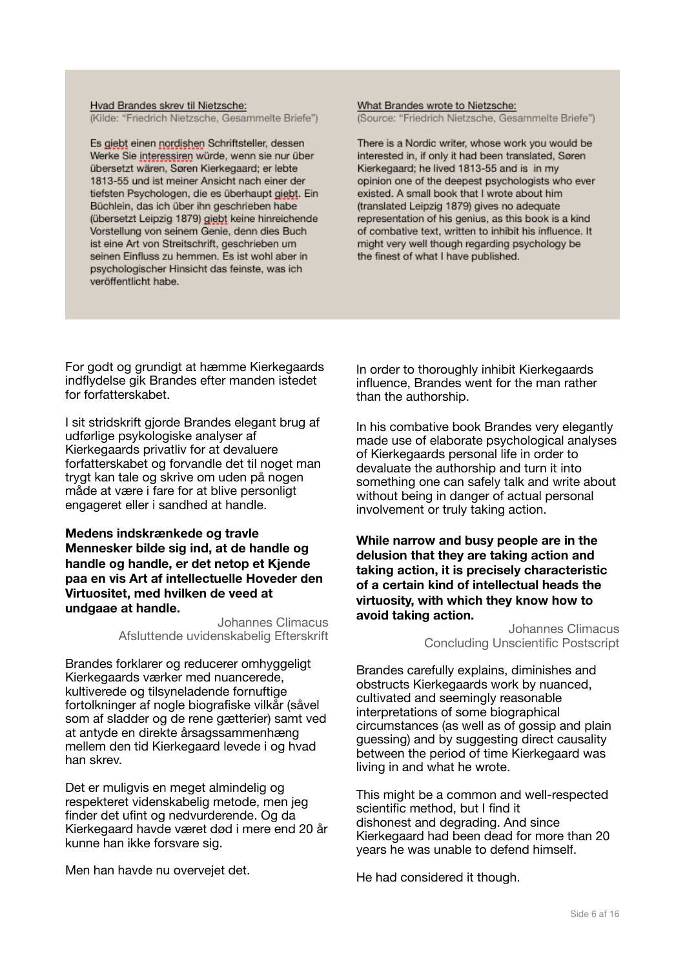Hvad Brandes skrev til Nietzsche: (Kilde: "Friedrich Nietzsche, Gesammelte Briefe")

Es giebt einen nordishen Schriftsteller, dessen Werke Sie interessiren würde, wenn sie nur über übersetzt wären, Søren Kierkegaard; er lebte 1813-55 und ist meiner Ansicht nach einer der tiefsten Psychologen, die es überhaupt giebt. Ein Büchlein, das ich über ihn geschrieben habe (übersetzt Leipzig 1879) giebt keine hinreichende Vorstellung von seinem Genie, denn dies Buch ist eine Art von Streitschrift, geschrieben um seinen Einfluss zu hemmen. Es ist wohl aber in psychologischer Hinsicht das feinste, was ich veröffentlicht habe.

#### What Brandes wrote to Nietzsche: (Source: "Friedrich Nietzsche, Gesammelte Briefe")

There is a Nordic writer, whose work you would be interested in, if only it had been translated. Søren Kierkegaard; he lived 1813-55 and is in my opinion one of the deepest psychologists who ever existed. A small book that I wrote about him (translated Leipzig 1879) gives no adequate representation of his genius, as this book is a kind of combative text, written to inhibit his influence. It might very well though regarding psychology be the finest of what I have published.

For godt og grundigt at hæmme Kierkegaards indflydelse gik Brandes efter manden istedet for forfatterskabet.

I sit stridskrift gjorde Brandes elegant brug af udførlige psykologiske analyser af Kierkegaards privatliv for at devaluere forfatterskabet og forvandle det til noget man trygt kan tale og skrive om uden på nogen måde at være i fare for at blive personligt engageret eller i sandhed at handle.

#### **Medens indskrænkede og travle Mennesker bilde sig ind, at de handle og handle og handle, er det netop et Kjende paa en vis Art af intellectuelle Hoveder den Virtuositet, med hvilken de veed at undgaae at handle.**

Johannes Climacus Afsluttende uvidenskabelig Efterskrift

Brandes forklarer og reducerer omhyggeligt Kierkegaards værker med nuancerede, kultiverede og tilsyneladende fornuftige fortolkninger af nogle biografiske vilkår (såvel som af sladder og de rene gætterier) samt ved at antyde en direkte årsagssammenhæng mellem den tid Kierkegaard levede i og hvad han skrev.

Det er muligvis en meget almindelig og respekteret videnskabelig metode, men jeg finder det ufint og nedvurderende. Og da Kierkegaard havde været død i mere end 20 år kunne han ikke forsvare sig.

Men han havde nu overvejet det.

In order to thoroughly inhibit Kierkegaards influence, Brandes went for the man rather than the authorship.

In his combative book Brandes very elegantly made use of elaborate psychological analyses of Kierkegaards personal life in order to devaluate the authorship and turn it into something one can safely talk and write about without being in danger of actual personal involvement or truly taking action.

**While narrow and busy people are in the delusion that they are taking action and taking action, it is precisely characteristic of a certain kind of intellectual heads the virtuosity, with which they know how to avoid taking action.** 

Johannes Climacus Concluding Unscientific Postscript

Brandes carefully explains, diminishes and obstructs Kierkegaards work by nuanced, cultivated and seemingly reasonable interpretations of some biographical circumstances (as well as of gossip and plain guessing) and by suggesting direct causality between the period of time Kierkegaard was living in and what he wrote.

This might be a common and well-respected scientific method, but I find it dishonest and degrading. And since Kierkegaard had been dead for more than 20 years he was unable to defend himself.

He had considered it though.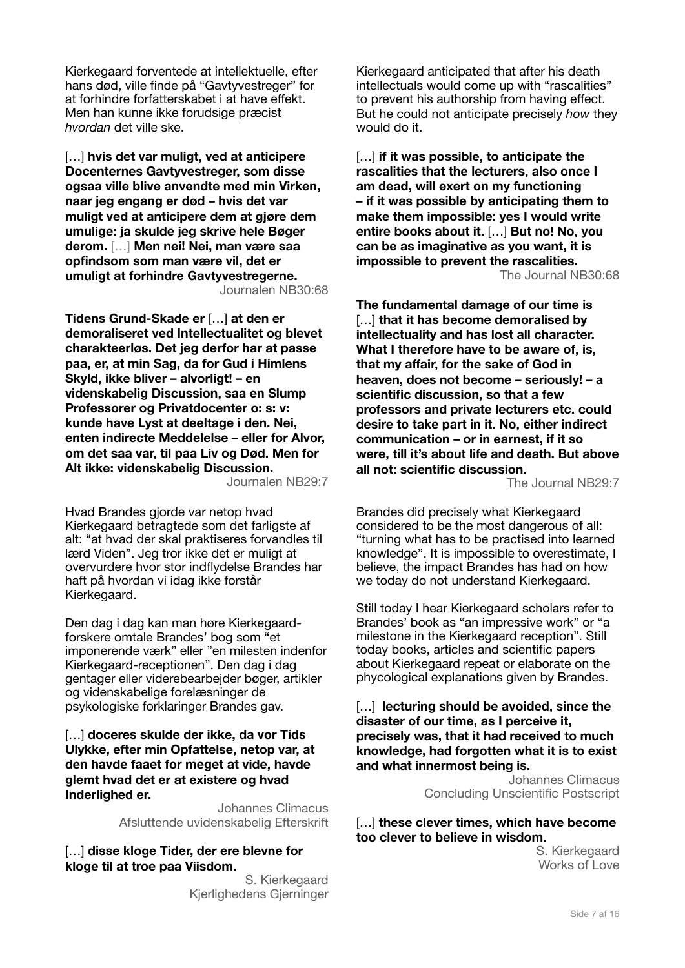Kierkegaard forventede at intellektuelle, efter hans død, ville finde på "Gavtyvestreger" for at forhindre forfatterskabet i at have effekt. Men han kunne ikke forudsige præcist *hvordan* det ville ske.

[…] **hvis det var muligt, ved at anticipere Docenternes Gavtyvestreger, som disse ogsaa ville blive anvendte med min Virken, naar jeg engang er død – hvis det var muligt ved at anticipere dem at gjøre dem umulige: ja skulde jeg skrive hele Bøger derom.** […] **Men nei! Nei, man være saa opfindsom som man være vil, det er umuligt at forhindre Gavtyvestregerne.**  Journalen NB30:68

**Tidens Grund-Skade er** […] **at den er demoraliseret ved Intellectualitet og blevet charakteerløs. Det jeg derfor har at passe paa, er, at min Sag, da for Gud i Himlens Skyld, ikke bliver – alvorligt! – en videnskabelig Discussion, saa en Slump Professorer og Privatdocenter o: s: v: kunde have Lyst at deeltage i den. Nei, enten indirecte Meddelelse – eller for Alvor, om det saa var, til paa Liv og Død. Men for Alt ikke: videnskabelig Discussion.**  Journalen NB29:7

Hvad Brandes gjorde var netop hvad Kierkegaard betragtede som det farligste af alt: "at hvad der skal praktiseres forvandles til lærd Viden". Jeg tror ikke det er muligt at overvurdere hvor stor indflydelse Brandes har haft på hvordan vi idag ikke forstår Kierkegaard.

Den dag i dag kan man høre Kierkegaardforskere omtale Brandes' bog som "et imponerende værk" eller "en milesten indenfor Kierkegaard-receptionen". Den dag i dag gentager eller viderebearbejder bøger, artikler og videnskabelige forelæsninger de psykologiske forklaringer Brandes gav.

[…] **doceres skulde der ikke, da vor Tids Ulykke, efter min Opfattelse, netop var, at den havde faaet for meget at vide, havde glemt hvad det er at existere og hvad Inderlighed er.** 

> Johannes Climacus Afsluttende uvidenskabelig Efterskrift

[…] **disse kloge Tider, der ere blevne for kloge til at troe paa Viisdom.** 

> S. Kierkegaard Kjerlighedens Gjerninger

Kierkegaard anticipated that after his death intellectuals would come up with "rascalities" to prevent his authorship from having effect. But he could not anticipate precisely *how* they would do it.

[…] **if it was possible, to anticipate the rascalities that the lecturers, also once I am dead, will exert on my functioning – if it was possible by anticipating them to make them impossible: yes I would write entire books about it.** […] **But no! No, you can be as imaginative as you want, it is impossible to prevent the rascalities.**  The Journal NB30:68

**The fundamental damage of our time is**  […] **that it has become demoralised by intellectuality and has lost all character. What I therefore have to be aware of, is, that my affair, for the sake of God in heaven, does not become – seriously! – a scientific discussion, so that a few professors and private lecturers etc. could desire to take part in it. No, either indirect communication – or in earnest, if it so were, till it's about life and death. But above all not: scientific discussion.** 

The Journal NB29:7

Brandes did precisely what Kierkegaard considered to be the most dangerous of all: "turning what has to be practised into learned knowledge". It is impossible to overestimate, I believe, the impact Brandes has had on how we today do not understand Kierkegaard.

Still today I hear Kierkegaard scholars refer to Brandes' book as "an impressive work" or "a milestone in the Kierkegaard reception". Still today books, articles and scientific papers about Kierkegaard repeat or elaborate on the phycological explanations given by Brandes.

[...] **lecturing should be avoided, since the disaster of our time, as I perceive it, precisely was, that it had received to much knowledge, had forgotten what it is to exist and what innermost being is.** 

Johannes Climacus Concluding Unscientific Postscript

#### […] **these clever times, which have become too clever to believe in wisdom.**

S. Kierkegaard Works of Love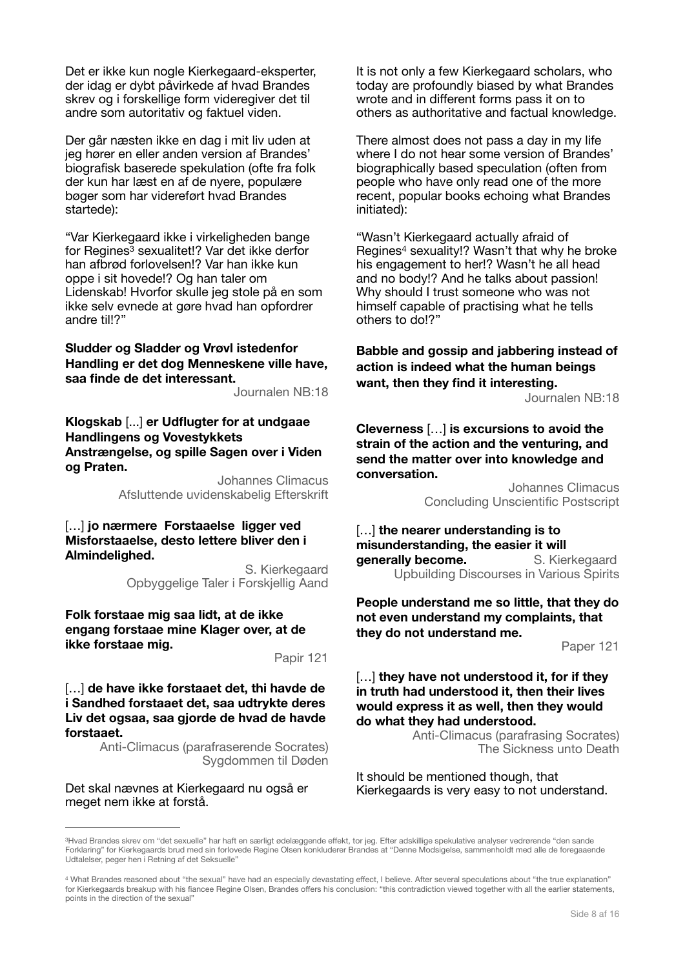Det er ikke kun nogle Kierkegaard-eksperter, der idag er dybt påvirkede af hvad Brandes skrev og i forskellige form videregiver det til andre som autoritativ og faktuel viden.

Der går næsten ikke en dag i mit liv uden at jeg hører en eller anden version af Brandes' biografisk baserede spekulation (ofte fra folk der kun har læst en af de nyere, populære bøger som har videreført hvad Brandes startede):

<span id="page-7-2"></span>"Var Kierkegaard ikke i virkeligheden bange forRegines<sup>[3](#page-7-0)</sup> sexualitet!? Var det ikke derfor han afbrød forlovelsen!? Var han ikke kun oppe i sit hovede!? Og han taler om Lidenskab! Hvorfor skulle jeg stole på en som ikke selv evnede at gøre hvad han opfordrer andre til!?"

#### **Sludder og Sladder og Vrøvl istedenfor Handling er det dog Menneskene ville have, saa finde de det interessant.**

Journalen NB:18

#### **Klogskab** [...] **er Udflugter for at undgaae Handlingens og Vovestykkets Anstrængelse, og spille Sagen over i Viden og Praten.**

Johannes Climacus Afsluttende uvidenskabelig Efterskrift

#### […] **jo nærmere Forstaaelse ligger ved Misforstaaelse, desto lettere bliver den i Almindelighed.**

S. Kierkegaard Opbyggelige Taler i Forskjellig Aand

#### **Folk forstaae mig saa lidt, at de ikke engang forstaae mine Klager over, at de ikke forstaae mig.**

Papir 121

[…] **de have ikke forstaaet det, thi havde de i Sandhed forstaaet det, saa udtrykte deres Liv det ogsaa, saa gjorde de hvad de havde forstaaet.** 

> Anti-Climacus (parafraserende Socrates) Sygdommen til Døden

Det skal nævnes at Kierkegaard nu også er meget nem ikke at forstå.

It is not only a few Kierkegaard scholars, who today are profoundly biased by what Brandes wrote and in different forms pass it on to others as authoritative and factual knowledge.

There almost does not pass a day in my life where I do not hear some version of Brandes' biographically based speculation (often from people who have only read one of the more recent, popular books echoing what Brandes initiated):

<span id="page-7-3"></span>"Wasn't Kierkegaard actually afraid of Regines<sup>[4](#page-7-1)</sup> sexuality!? Wasn't that why he broke his engagement to her!? Wasn't he all head and no body!? And he talks about passion! Why should I trust someone who was not himself capable of practising what he tells others to do!?"

# **Babble and gossip and jabbering instead of action is indeed what the human beings want, then they find it interesting.**

Journalen NB:18

**Cleverness** […] **is excursions to avoid the strain of the action and the venturing, and send the matter over into knowledge and conversation.** 

> Johannes Climacus Concluding Unscientific Postscript

[…] **the nearer understanding is to misunderstanding, the easier it will generally become. S. Kierkegaard** Upbuilding Discourses in Various Spirits

**People understand me so little, that they do not even understand my complaints, that they do not understand me.** 

Paper 121

#### […] **they have not understood it, for if they in truth had understood it, then their lives would express it as well, then they would do what they had understood.**

Anti-Climacus (parafrasing Socrates) The Sickness unto Death

It should be mentioned though, that Kierkegaards is very easy to not understand.

<span id="page-7-0"></span><sup>&</sup>lt;sup>[3](#page-7-2)</sup>Hvad Brandes skrev om "det sexuelle" har haft en særligt ødelæggende effekt, tor jeg. Efter adskillige spekulative analyser vedrørende "den sande Forklaring" for Kierkegaards brud med sin forlovede Regine Olsen konkluderer Brandes at "Denne Modsigelse, sammenholdt med alle de foregaaende Udtalelser, peger hen i Retning af det Seksuelle"

<span id="page-7-1"></span>What Brandes reasoned about "the sexual" have had an especially devastating effect, I believe. After several speculations about "the true explanation" [4](#page-7-3) for Kierkegaards breakup with his fiancee Regine Olsen, Brandes offers his conclusion: "this contradiction viewed together with all the earlier statements, points in the direction of the sexual"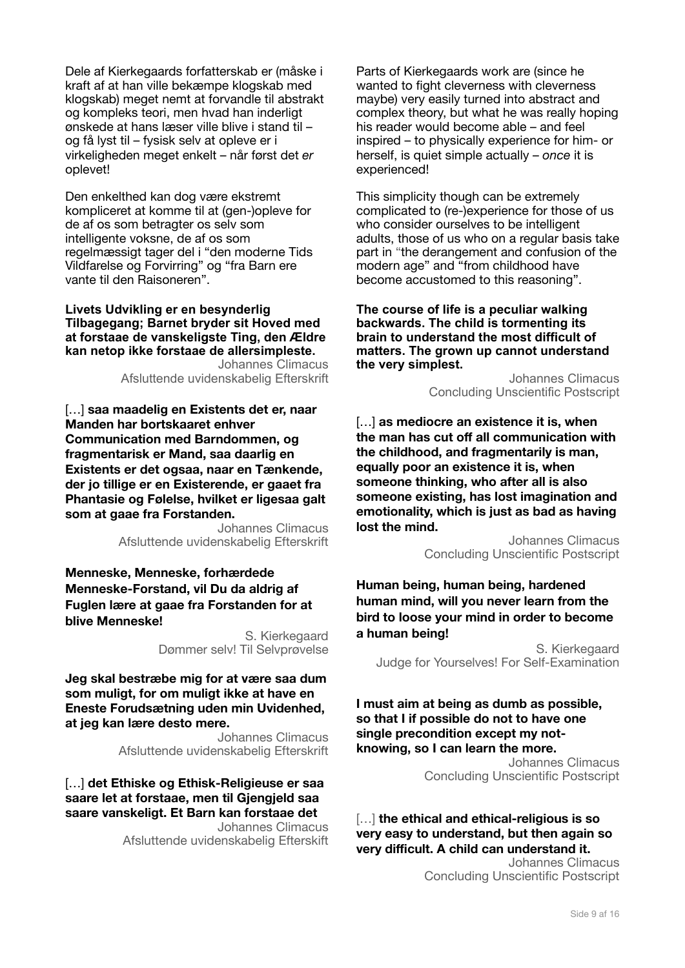Dele af Kierkegaards forfatterskab er (måske i kraft af at han ville bekæmpe klogskab med klogskab) meget nemt at forvandle til abstrakt og kompleks teori, men hvad han inderligt ønskede at hans læser ville blive i stand til – og få lyst til – fysisk selv at opleve er i virkeligheden meget enkelt – når først det *er* oplevet!

Den enkelthed kan dog være ekstremt kompliceret at komme til at (gen-)opleve for de af os som betragter os selv som intelligente voksne, de af os som regelmæssigt tager del i "den moderne Tids Vildfarelse og Forvirring" og "fra Barn ere vante til den Raisoneren".

**Livets Udvikling er en besynderlig Tilbagegang; Barnet bryder sit Hoved med at forstaae de vanskeligste Ting, den Ældre kan netop ikke forstaae de allersimpleste.** 

Johannes Climacus Afsluttende uvidenskabelig Efterskrift

[…] **saa maadelig en Existents det er, naar Manden har bortskaaret enhver Communication med Barndommen, og fragmentarisk er Mand, saa daarlig en Existents er det ogsaa, naar en Tænkende, der jo tillige er en Existerende, er gaaet fra Phantasie og Følelse, hvilket er ligesaa galt som at gaae fra Forstanden.** 

Johannes Climacus Afsluttende uvidenskabelig Efterskrift

**Menneske, Menneske, forhærdede Menneske-Forstand, vil Du da aldrig af Fuglen lære at gaae fra Forstanden for at blive Menneske!**

> S. Kierkegaard Dømmer selv! Til Selvprøvelse

**Jeg skal bestræbe mig for at være saa dum som muligt, for om muligt ikke at have en Eneste Forudsætning uden min Uvidenhed, at jeg kan lære desto mere.** 

> Johannes Climacus Afsluttende uvidenskabelig Efterskrift

[…] **det Ethiske og Ethisk-Religieuse er saa saare let at forstaae, men til Gjengjeld saa saare vanskeligt. Et Barn kan forstaae det** 

Johannes Climacus Afsluttende uvidenskabelig Efterskift Parts of Kierkegaards work are (since he wanted to fight cleverness with cleverness maybe) very easily turned into abstract and complex theory, but what he was really hoping his reader would become able – and feel inspired – to physically experience for him- or herself, is quiet simple actually – *once* it is experienced!

This simplicity though can be extremely complicated to (re-)experience for those of us who consider ourselves to be intelligent adults, those of us who on a regular basis take part in "the derangement and confusion of the modern age" and "from childhood have become accustomed to this reasoning".

**The course of life is a peculiar walking backwards. The child is tormenting its brain to understand the most difficult of matters. The grown up cannot understand the very simplest.** 

> Johannes Climacus Concluding Unscientific Postscript

[…] **as mediocre an existence it is, when the man has cut off all communication with the childhood, and fragmentarily is man, equally poor an existence it is, when someone thinking, who after all is also someone existing, has lost imagination and emotionality, which is just as bad as having lost the mind.** 

> Johannes Climacus Concluding Unscientific Postscript

**Human being, human being, hardened human mind, will you never learn from the bird to loose your mind in order to become a human being!** 

S. Kierkegaard Judge for Yourselves! For Self-Examination

**I must aim at being as dumb as possible, so that I if possible do not to have one single precondition except my notknowing, so I can learn the more.** Johannes Climacus Concluding Unscientific Postscript

[…] **the ethical and ethical-religious is so very easy to understand, but then again so very difficult. A child can understand it.** 

Johannes Climacus Concluding Unscientific Postscript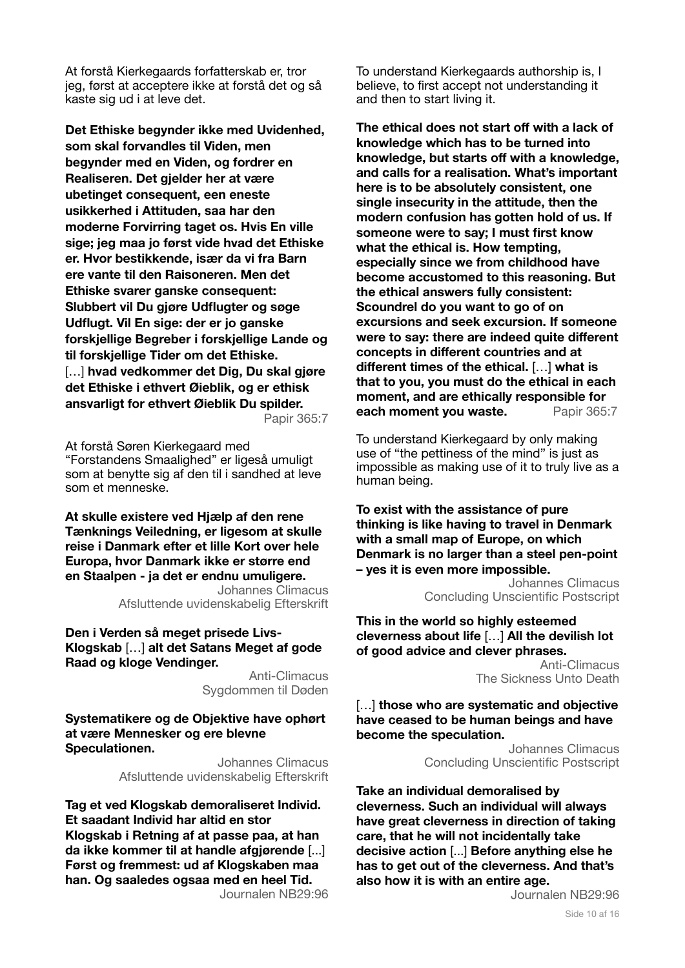At forstå Kierkegaards forfatterskab er, tror jeg, først at acceptere ikke at forstå det og så kaste sig ud i at leve det.

**Det Ethiske begynder ikke med Uvidenhed, som skal forvandles til Viden, men begynder med en Viden, og fordrer en Realiseren. Det gjelder her at være ubetinget consequent, een eneste usikkerhed i Attituden, saa har den moderne Forvirring taget os. Hvis En ville sige; jeg maa jo først vide hvad det Ethiske er. Hvor bestikkende, især da vi fra Barn ere vante til den Raisoneren. Men det Ethiske svarer ganske consequent: Slubbert vil Du gjøre Udflugter og søge Udflugt. Vil En sige: der er jo ganske forskjellige Begreber i forskjellige Lande og til forskjellige Tider om det Ethiske.**  […] **hvad vedkommer det Dig, Du skal gjøre det Ethiske i ethvert Øieblik, og er ethisk ansvarligt for ethvert Øieblik Du spilder.** Papir 365:7

At forstå Søren Kierkegaard med "Forstandens Smaalighed" er ligeså umuligt som at benytte sig af den til i sandhed at leve som et menneske.

**At skulle existere ved Hjælp af den rene Tænknings Veiledning, er ligesom at skulle reise i Danmark efter et lille Kort over hele Europa, hvor Danmark ikke er større end en Staalpen - ja det er endnu umuligere.** 

Johannes Climacus Afsluttende uvidenskabelig Efterskrift

**Den i Verden så meget prisede Livs-Klogskab** […] **alt det Satans Meget af gode Raad og kloge Vendinger.** 

> Anti-Climacus Sygdommen til Døden

**Systematikere og de Objektive have ophørt at være Mennesker og ere blevne Speculationen.**

> Johannes Climacus Afsluttende uvidenskabelig Efterskrift

**Tag et ved Klogskab demoraliseret Individ. Et saadant Individ har altid en stor Klogskab i Retning af at passe paa, at han da ikke kommer til at handle afgjørende** [...] **Først og fremmest: ud af Klogskaben maa han. Og saaledes ogsaa med en heel Tid.** Journalen NB29:96 To understand Kierkegaards authorship is, I believe, to first accept not understanding it and then to start living it.

**The ethical does not start off with a lack of knowledge which has to be turned into knowledge, but starts off with a knowledge, and calls for a realisation. What's important here is to be absolutely consistent, one single insecurity in the attitude, then the modern confusion has gotten hold of us. If someone were to say; I must first know what the ethical is. How tempting, especially since we from childhood have become accustomed to this reasoning. But the ethical answers fully consistent: Scoundrel do you want to go of on excursions and seek excursion. If someone were to say: there are indeed quite different concepts in different countries and at different times of the ethical.** […] **what is that to you, you must do the ethical in each moment, and are ethically responsible for each moment you waste.** Papir 365:7

To understand Kierkegaard by only making use of "the pettiness of the mind" is just as impossible as making use of it to truly live as a human being.

**To exist with the assistance of pure thinking is like having to travel in Denmark with a small map of Europe, on which Denmark is no larger than a steel pen-point – yes it is even more impossible.** 

> Johannes Climacus Concluding Unscientific Postscript

**This in the world so highly esteemed cleverness about life** […] **All the devilish lot of good advice and clever phrases.** 

Anti-Climacus The Sickness Unto Death

[…] **those who are systematic and objective have ceased to be human beings and have become the speculation.** 

> Johannes Climacus Concluding Unscientific Postscript

**Take an individual demoralised by cleverness. Such an individual will always have great cleverness in direction of taking care, that he will not incidentally take decisive action** [...] **Before anything else he has to get out of the cleverness. And that's also how it is with an entire age.** 

Journalen NB29:96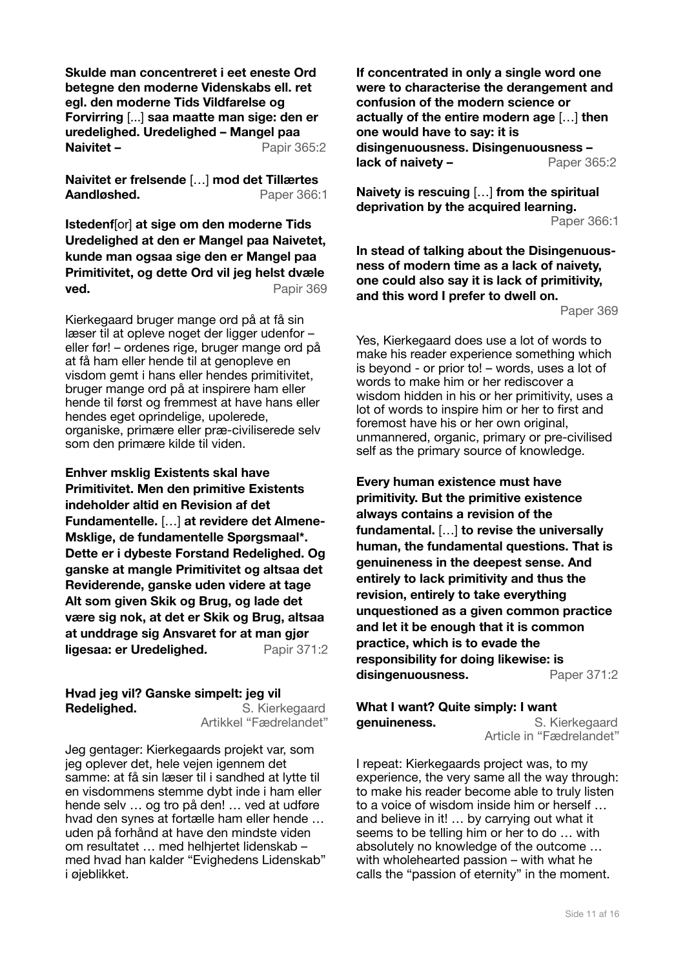**Skulde man concentreret i eet eneste Ord betegne den moderne Videnskabs ell. ret egl. den moderne Tids Vildfarelse og Forvirring** [...] **saa maatte man sige: den er uredelighed. Uredelighed – Mangel paa Naivitet – Papir 365:2** 

**Naivitet er frelsende** […] **mod det Tillærtes**  Aandløshed. **Paper 366:1** 

**Istedenf**[or] **at sige om den moderne Tids Uredelighed at den er Mangel paa Naivetet, kunde man ogsaa sige den er Mangel paa Primitivitet, og dette Ord vil jeg helst dvæle ved.** Papir 369

Kierkegaard bruger mange ord på at få sin læser til at opleve noget der ligger udenfor – eller før! – ordenes rige, bruger mange ord på at få ham eller hende til at genopleve en visdom gemt i hans eller hendes primitivitet, bruger mange ord på at inspirere ham eller hende til først og fremmest at have hans eller hendes eget oprindelige, upolerede, organiske, primære eller præ-civiliserede selv som den primære kilde til viden.

**Enhver msklig Existents skal have Primitivitet. Men den primitive Existents indeholder altid en Revision af det Fundamentelle.** […] **at revidere det Almene-Msklige, de fundamentelle Spørgsmaal\*. Dette er i dybeste Forstand Redelighed. Og ganske at mangle Primitivitet og altsaa det Reviderende, ganske uden videre at tage Alt som given Skik og Brug, og lade det være sig nok, at det er Skik og Brug, altsaa at unddrage sig Ansvaret for at man gjør ligesaa: er Uredelighed.** Papir 371:2

# **Hvad jeg vil? Ganske simpelt: jeg vil Redelighed.** S. Kierkegaard

Artikkel "Fædrelandet"

Jeg gentager: Kierkegaards projekt var, som jeg oplever det, hele vejen igennem det samme: at få sin læser til i sandhed at lytte til en visdommens stemme dybt inde i ham eller hende selv … og tro på den! … ved at udføre hvad den synes at fortælle ham eller hende … uden på forhånd at have den mindste viden om resultatet … med helhjertet lidenskab – med hvad han kalder "Evighedens Lidenskab" i øjeblikket.

**If concentrated in only a single word one were to characterise the derangement and confusion of the modern science or actually of the entire modern age** […] **then one would have to say: it is disingenuousness. Disingenuousness – lack of naivety –**  Paper 365:2

**Naivety is rescuing** […] **from the spiritual deprivation by the acquired learning.**  Paper 366:1

**In stead of talking about the Disingenuousness of modern time as a lack of naivety, one could also say it is lack of primitivity, and this word I prefer to dwell on.** 

Paper 369

Yes, Kierkegaard does use a lot of words to make his reader experience something which is beyond - or prior to! – words, uses a lot of words to make him or her rediscover a wisdom hidden in his or her primitivity, uses a lot of words to inspire him or her to first and foremost have his or her own original, unmannered, organic, primary or pre-civilised self as the primary source of knowledge.

**Every human existence must have primitivity. But the primitive existence always contains a revision of the fundamental.** […] **to revise the universally human, the fundamental questions. That is genuineness in the deepest sense. And entirely to lack primitivity and thus the revision, entirely to take everything unquestioned as a given common practice and let it be enough that it is common practice, which is to evade the responsibility for doing likewise: is disingenuousness.** Paper 371:2

#### **What I want? Quite simply: I want genuineness.** S. Kierkegaard Article in "Fædrelandet"

I repeat: Kierkegaards project was, to my experience, the very same all the way through: to make his reader become able to truly listen to a voice of wisdom inside him or herself … and believe in it! … by carrying out what it seems to be telling him or her to do … with absolutely no knowledge of the outcome … with wholehearted passion – with what he calls the "passion of eternity" in the moment.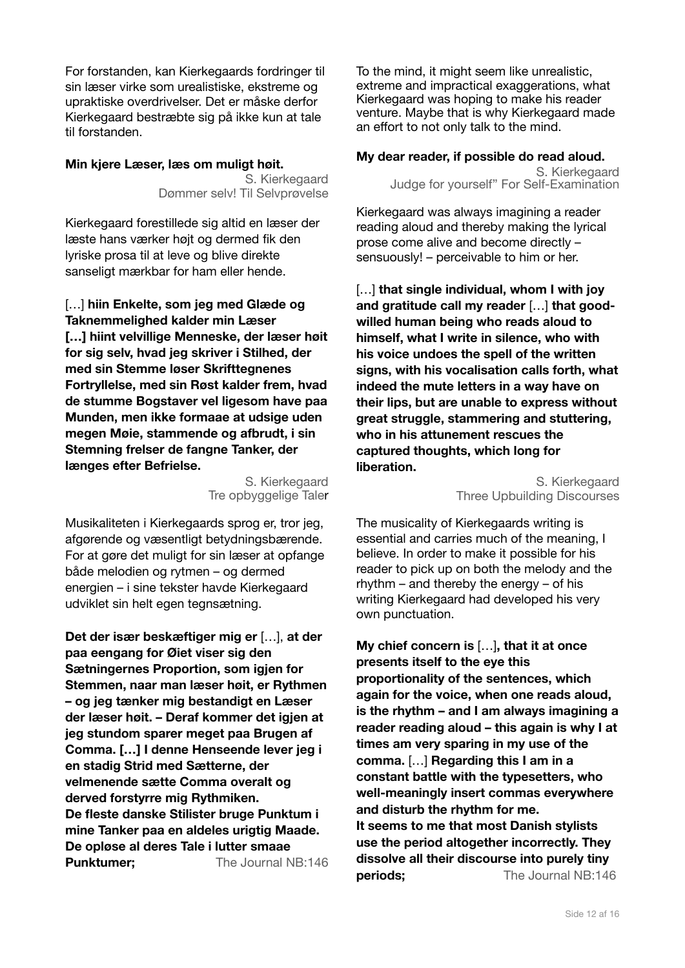For forstanden, kan Kierkegaards fordringer til sin læser virke som urealistiske, ekstreme og upraktiske overdrivelser. Det er måske derfor Kierkegaard bestræbte sig på ikke kun at tale til forstanden.

# **Min kjere Læser, læs om muligt høit.**

S. Kierkegaard Dømmer selv! Til Selvprøvelse

Kierkegaard forestillede sig altid en læser der læste hans værker højt og dermed fik den lyriske prosa til at leve og blive direkte sanseligt mærkbar for ham eller hende.

[…] **hiin Enkelte, som jeg med Glæde og Taknemmelighed kalder min Læser […] hiint velvillige Menneske, der læser høit for sig selv, hvad jeg skriver i Stilhed, der med sin Stemme løser Skrifttegnenes Fortryllelse, med sin Røst kalder frem, hvad de stumme Bogstaver vel ligesom have paa Munden, men ikke formaae at udsige uden megen Møie, stammende og afbrudt, i sin Stemning frelser de fangne Tanker, der længes efter Befrielse.** 

> S. Kierkegaard Tre opbyggelige Taler

Musikaliteten i Kierkegaards sprog er, tror jeg, afgørende og væsentligt betydningsbærende. For at gøre det muligt for sin læser at opfange både melodien og rytmen – og dermed energien – i sine tekster havde Kierkegaard udviklet sin helt egen tegnsætning.

**Det der især beskæftiger mig er** […], **at der paa eengang for Øiet viser sig den Sætningernes Proportion, som igjen for Stemmen, naar man læser høit, er Rythmen – og jeg tænker mig bestandigt en Læser der læser høit. – Deraf kommer det igjen at jeg stundom sparer meget paa Brugen af Comma. […] I denne Henseende lever jeg i en stadig Strid med Sætterne, der velmenende sætte Comma overalt og derved forstyrre mig Rythmiken. De fleste danske Stilister bruge Punktum i mine Tanker paa en aldeles urigtig Maade. De opløse al deres Tale i lutter smaae Punktumer:** The Journal NB:146 To the mind, it might seem like unrealistic, extreme and impractical exaggerations, what Kierkegaard was hoping to make his reader venture. Maybe that is why Kierkegaard made an effort to not only talk to the mind.

# **My dear reader, if possible do read aloud.**

S. Kierkegaard Judge for yourself" For Self-Examination

Kierkegaard was always imagining a reader reading aloud and thereby making the lyrical prose come alive and become directly – sensuously! – perceivable to him or her.

[…] **that single individual, whom I with joy and gratitude call my reader** […] **that goodwilled human being who reads aloud to himself, what I write in silence, who with his voice undoes the spell of the written signs, with his vocalisation calls forth, what indeed the mute letters in a way have on their lips, but are unable to express without great struggle, stammering and stuttering, who in his attunement rescues the captured thoughts, which long for liberation.** 

S. Kierkegaard Three Upbuilding Discourses

The musicality of Kierkegaards writing is essential and carries much of the meaning, I believe. In order to make it possible for his reader to pick up on both the melody and the rhythm – and thereby the energy – of his writing Kierkegaard had developed his very own punctuation.

**My chief concern is** […]**, that it at once presents itself to the eye this proportionality of the sentences, which again for the voice, when one reads aloud, is the rhythm – and I am always imagining a reader reading aloud – this again is why I at times am very sparing in my use of the comma.** […] **Regarding this I am in a constant battle with the typesetters, who well-meaningly insert commas everywhere and disturb the rhythm for me. It seems to me that most Danish stylists use the period altogether incorrectly. They dissolve all their discourse into purely tiny periods:** The Journal NB:146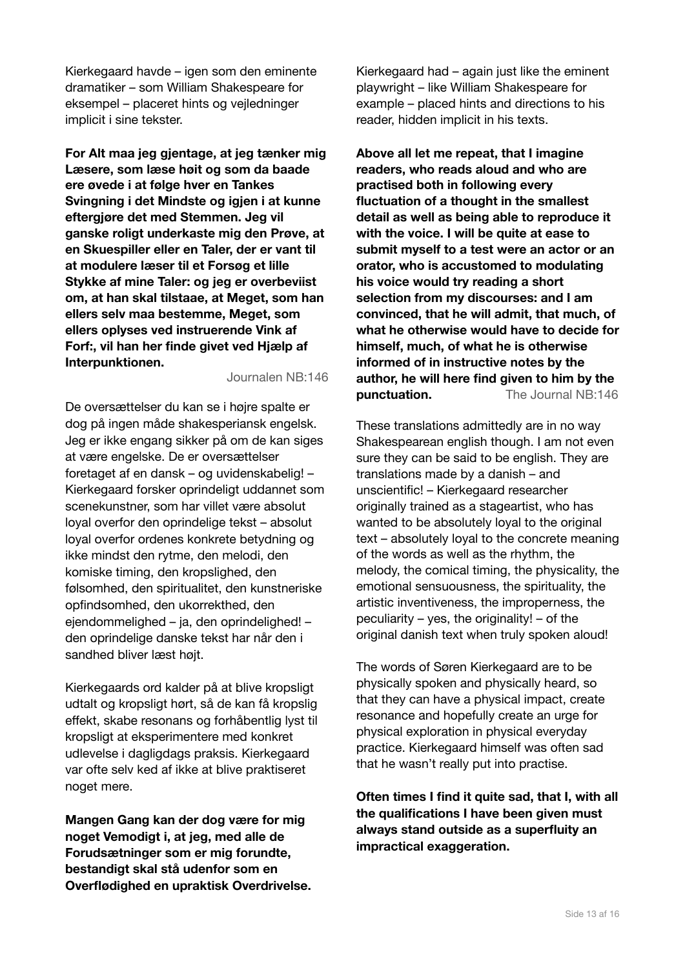Kierkegaard havde – igen som den eminente dramatiker – som William Shakespeare for eksempel – placeret hints og vejledninger implicit i sine tekster.

**For Alt maa jeg gjentage, at jeg tænker mig Læsere, som læse høit og som da baade ere øvede i at følge hver en Tankes Svingning i det Mindste og igjen i at kunne eftergjøre det med Stemmen. Jeg vil ganske roligt underkaste mig den Prøve, at en Skuespiller eller en Taler, der er vant til at modulere læser til et Forsøg et lille Stykke af mine Taler: og jeg er overbeviist om, at han skal tilstaae, at Meget, som han ellers selv maa bestemme, Meget, som ellers oplyses ved instruerende Vink af Forf:, vil han her finde givet ved Hjælp af Interpunktionen.** 

Journalen NB:146

De oversættelser du kan se i højre spalte er dog på ingen måde shakesperiansk engelsk. Jeg er ikke engang sikker på om de kan siges at være engelske. De er oversættelser foretaget af en dansk – og uvidenskabelig! – Kierkegaard forsker oprindeligt uddannet som scenekunstner, som har villet være absolut loyal overfor den oprindelige tekst – absolut loyal overfor ordenes konkrete betydning og ikke mindst den rytme, den melodi, den komiske timing, den kropslighed, den følsomhed, den spiritualitet, den kunstneriske opfindsomhed, den ukorrekthed, den ejendommelighed – ja, den oprindelighed! – den oprindelige danske tekst har når den i sandhed bliver læst højt.

Kierkegaards ord kalder på at blive kropsligt udtalt og kropsligt hørt, så de kan få kropslig effekt, skabe resonans og forhåbentlig lyst til kropsligt at eksperimentere med konkret udlevelse i dagligdags praksis. Kierkegaard var ofte selv ked af ikke at blive praktiseret noget mere.

**Mangen Gang kan der dog være for mig noget Vemodigt i, at jeg, med alle de Forudsætninger som er mig forundte, bestandigt skal stå udenfor som en Overflødighed en upraktisk Overdrivelse.** Kierkegaard had – again just like the eminent playwright – like William Shakespeare for example – placed hints and directions to his reader, hidden implicit in his texts.

**Above all let me repeat, that I imagine readers, who reads aloud and who are practised both in following every fluctuation of a thought in the smallest detail as well as being able to reproduce it with the voice. I will be quite at ease to submit myself to a test were an actor or an orator, who is accustomed to modulating his voice would try reading a short selection from my discourses: and I am convinced, that he will admit, that much, of what he otherwise would have to decide for himself, much, of what he is otherwise informed of in instructive notes by the author, he will here find given to him by the punctuation.** The Journal NB:146

These translations admittedly are in no way Shakespearean english though. I am not even sure they can be said to be english. They are translations made by a danish – and unscientific! – Kierkegaard researcher originally trained as a stageartist, who has wanted to be absolutely loyal to the original text – absolutely loyal to the concrete meaning of the words as well as the rhythm, the melody, the comical timing, the physicality, the emotional sensuousness, the spirituality, the artistic inventiveness, the improperness, the peculiarity – yes, the originality! – of the original danish text when truly spoken aloud!

The words of Søren Kierkegaard are to be physically spoken and physically heard, so that they can have a physical impact, create resonance and hopefully create an urge for physical exploration in physical everyday practice. Kierkegaard himself was often sad that he wasn't really put into practise.

**Often times I find it quite sad, that I, with all the qualifications I have been given must always stand outside as a superfluity an impractical exaggeration.**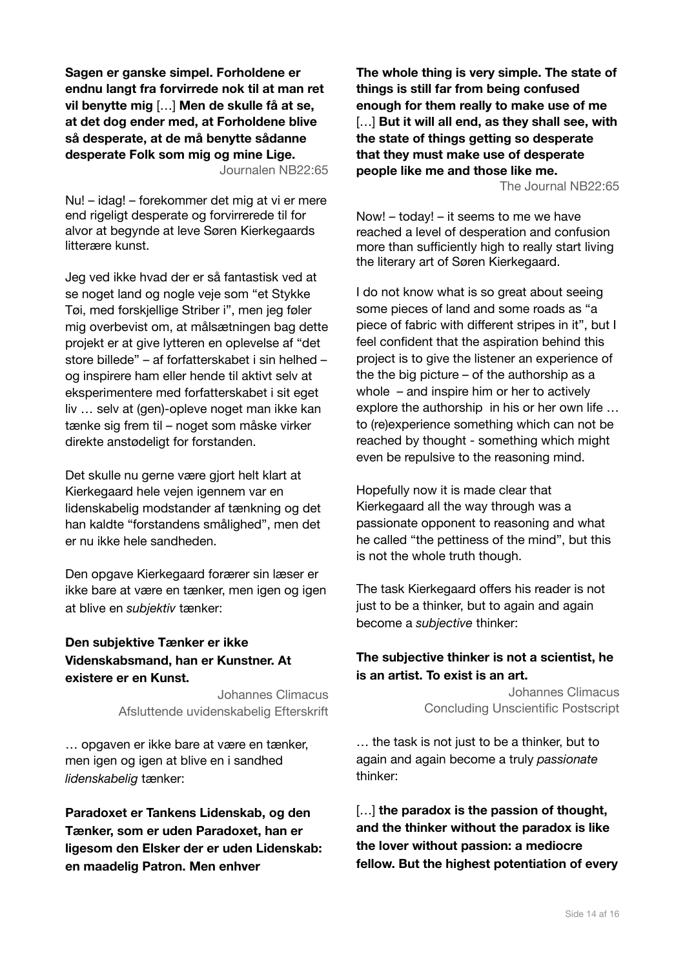**Sagen er ganske simpel. Forholdene er endnu langt fra forvirrede nok til at man ret vil benytte mig** […] **Men de skulle få at se, at det dog ender med, at Forholdene blive så desperate, at de må benytte sådanne desperate Folk som mig og mine Lige.**  Journalen NB22:65

Nu! – idag! – forekommer det mig at vi er mere end rigeligt desperate og forvirrerede til for alvor at begynde at leve Søren Kierkegaards litterære kunst.

Jeg ved ikke hvad der er så fantastisk ved at se noget land og nogle veje som "et Stykke Tøi, med forskjellige Striber i", men jeg føler mig overbevist om, at målsætningen bag dette projekt er at give lytteren en oplevelse af "det store billede" – af forfatterskabet i sin helhed – og inspirere ham eller hende til aktivt selv at eksperimentere med forfatterskabet i sit eget liv … selv at (gen)-opleve noget man ikke kan tænke sig frem til – noget som måske virker direkte anstødeligt for forstanden.

Det skulle nu gerne være gjort helt klart at Kierkegaard hele vejen igennem var en lidenskabelig modstander af tænkning og det han kaldte "forstandens smålighed", men det er nu ikke hele sandheden.

Den opgave Kierkegaard forærer sin læser er ikke bare at være en tænker, men igen og igen at blive en *subjektiv* tænker:

# **Den subjektive Tænker er ikke Videnskabsmand, han er Kunstner. At existere er en Kunst.**

Johannes Climacus Afsluttende uvidenskabelig Efterskrift

… opgaven er ikke bare at være en tænker, men igen og igen at blive en i sandhed *lidenskabelig* tænker:

**Paradoxet er Tankens Lidenskab, og den Tænker, som er uden Paradoxet, han er ligesom den Elsker der er uden Lidenskab: en maadelig Patron. Men enhver**

**The whole thing is very simple. The state of things is still far from being confused enough for them really to make use of me** […] **But it will all end, as they shall see, with the state of things getting so desperate that they must make use of desperate people like me and those like me.** 

The Journal NB22:65

Now! – today! – it seems to me we have reached a level of desperation and confusion more than sufficiently high to really start living the literary art of Søren Kierkegaard.

I do not know what is so great about seeing some pieces of land and some roads as "a piece of fabric with different stripes in it", but I feel confident that the aspiration behind this project is to give the listener an experience of the the big picture – of the authorship as a whole – and inspire him or her to actively explore the authorship in his or her own life … to (re)experience something which can not be reached by thought - something which might even be repulsive to the reasoning mind.

Hopefully now it is made clear that Kierkegaard all the way through was a passionate opponent to reasoning and what he called "the pettiness of the mind", but this is not the whole truth though.

The task Kierkegaard offers his reader is not just to be a thinker, but to again and again become a *subjective* thinker:

# **The subjective thinker is not a scientist, he is an artist. To exist is an art.**

Johannes Climacus Concluding Unscientific Postscript

… the task is not just to be a thinker, but to again and again become a truly *passionate* thinker:

[...] **the paradox is the passion of thought, and the thinker without the paradox is like the lover without passion: a mediocre fellow. But the highest potentiation of every**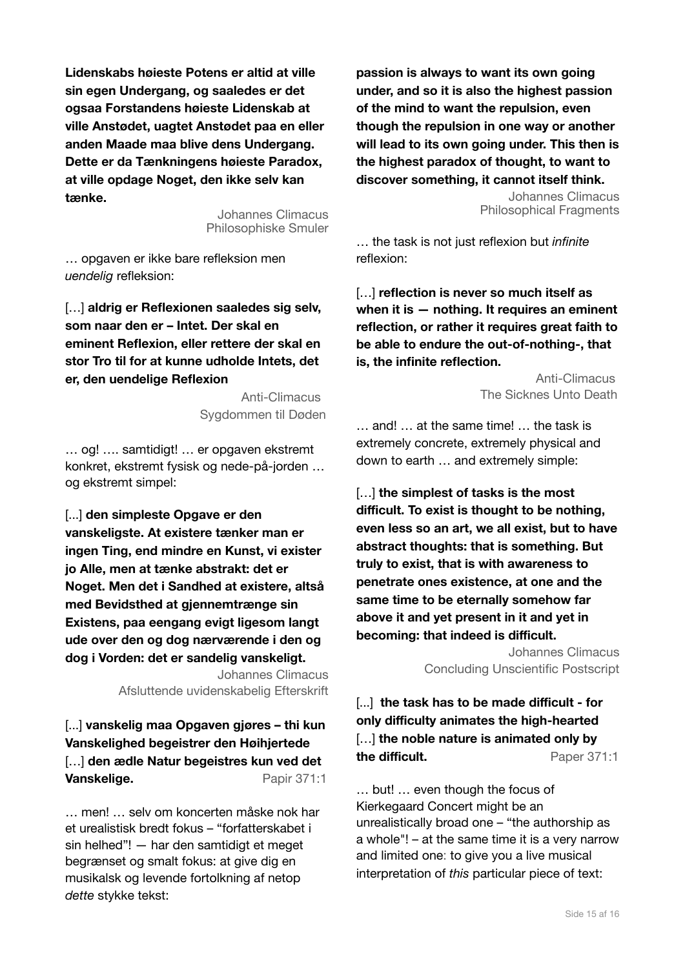**Lidenskabs høieste Potens er altid at ville sin egen Undergang, og saaledes er det ogsaa Forstandens høieste Lidenskab at ville Anstødet, uagtet Anstødet paa en eller anden Maade maa blive dens Undergang. Dette er da Tænkningens høieste Paradox, at ville opdage Noget, den ikke selv kan tænke.** 

> Johannes Climacus Philosophiske Smuler

… opgaven er ikke bare refleksion men *uendelig* refleksion:

[...] aldrig er Reflexionen saaledes sig selv, **som naar den er – Intet. Der skal en eminent Reflexion, eller rettere der skal en stor Tro til for at kunne udholde Intets, det er, den uendelige Reflexion**

> Anti-Climacus Sygdommen til Døden

… og! …. samtidigt! … er opgaven ekstremt konkret, ekstremt fysisk og nede-på-jorden … og ekstremt simpel:

[...] **den simpleste Opgave er den vanskeligste. At existere tænker man er ingen Ting, end mindre en Kunst, vi exister jo Alle, men at tænke abstrakt: det er Noget. Men det i Sandhed at existere, altså med Bevidsthed at gjennemtrænge sin Existens, paa eengang evigt ligesom langt ude over den og dog nærværende i den og dog i Vorden: det er sandelig vanskeligt.**

> Johannes Climacus Afsluttende uvidenskabelig Efterskrift

[...] **vanskelig maa Opgaven gjøres – thi kun Vanskelighed begeistrer den Høihjertede**  […] **den ædle Natur begeistres kun ved det Vanskelige.** Papir 371:1

… men! … selv om koncerten måske nok har et urealistisk bredt fokus – "forfatterskabet i sin helhed"! — har den samtidigt et meget begrænset og smalt fokus: at give dig en musikalsk og levende fortolkning af netop *dette* stykke tekst:

**passion is always to want its own going under, and so it is also the highest passion of the mind to want the repulsion, even though the repulsion in one way or another will lead to its own going under. This then is the highest paradox of thought, to want to discover something, it cannot itself think.**

> Johannes Climacus Philosophical Fragments

… the task is not just reflexion but *infinite*  reflexion:

[…] **reflection is never so much itself as when it is — nothing. It requires an eminent reflection, or rather it requires great faith to be able to endure the out-of-nothing-, that is, the infinite reflection.** 

> Anti-Climacus The Sicknes Unto Death

… and! … at the same time! … the task is extremely concrete, extremely physical and down to earth … and extremely simple:

[…] **the simplest of tasks is the most difficult. To exist is thought to be nothing, even less so an art, we all exist, but to have abstract thoughts: that is something. But truly to exist, that is with awareness to penetrate ones existence, at one and the same time to be eternally somehow far above it and yet present in it and yet in becoming: that indeed is difficult.** 

> Johannes Climacus Concluding Unscientific Postscript

[...] **the task has to be made difficult - for only difficulty animates the high-hearted** […] **the noble nature is animated only by the difficult.** Paper 371:1

… but! … even though the focus of Kierkegaard Concert might be an unrealistically broad one – "the authorship as a whole"! – at the same time it is a very narrow and limited one: to give you a live musical interpretation of *this* particular piece of text: